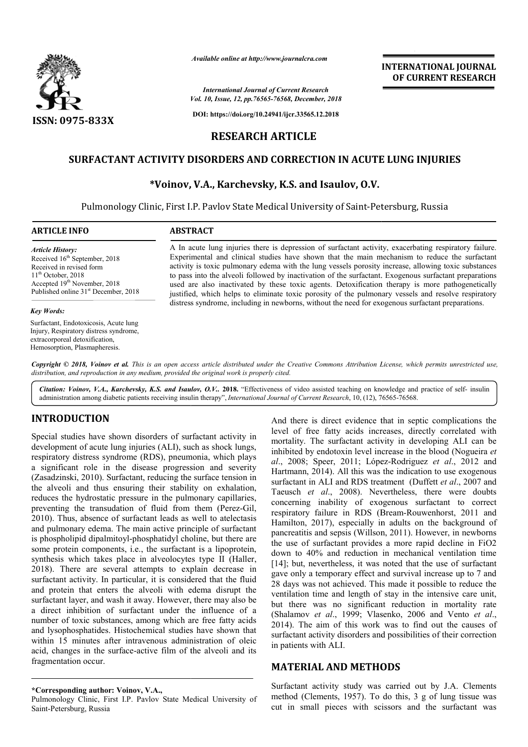

*Available online at http://www.journalcra.com*

*Vol. 10, Issue, 12, pp. pp.76565-76568, December, 2018 International Journal of Current Research*

**DOI: https://doi.org/10.24941/ijcr.33565.12.2018**

# **INTERNATIONAL JOURNAL OF CURRENT RESEARCH**

# **RESEARCH ARTICLE**

# **SURFACTANT ACTIVITY DISORDERS AND CORRECTION IN ACUTE LUNG INJURIES ACUTE LUNG INJURIES**

## **\*Voinov, , V.A., Karchevsky, K.S. and Isaulov, O.V.**

Pulmonology Clinic, First I.P. Pavlov State Medical University of Saint-Petersburg, Russia

#### **ARTICLE INFO ABSTRACT**

*Article History:* Received 16<sup>th</sup> September, 2018 Received in revised form 11th October, 2018 Accepted 19<sup>th</sup> November, 2018 Published online 31<sup>st</sup> December, 2018

#### *Key Words:*

Surfactant, Endotoxicosis, Acute lung Injury, Respiratory distress syndrome, extracorporeal detoxification, Hemosorption, Plasmapheresis.

A In acute lung injuries there is depression of surfactant activity, exacerbating respiratory failure. Experimental and clinical studies have shown that the main mechanism to reduce the surfactant activity is toxic pulmonary edema with the lung vessels porosity increase, allowing toxic substances to pass into the alveoli followed by inactivation of the surfactant. Exogenous surfactant preparations used are also inactivated by these toxic agents. Detoxification therapy is more pathogenetically justified, which helps to eliminate toxic porosity of the pulmonary vessels and resolve respiratory distress syndrome, including in newborns, without the need for exogenous surfactant preparations. imental and clinical studies have shown that the main mechanism to reduce the surfactant<br>by is toxic pulmonary edema with the lung vessels porosity increase, allowing toxic substances<br>s into the alveoli followed by inactiv A In acute lung injuries there is depression of surfactant activity, exacerbating respiratory failure. Experimental and clinical studies have shown that the main mechanism to reduce the surfactant activity is toxic pulmona

Copyright © 2018, Voinov et al. This is an open access article distributed under the Creative Commons Attribution License, which permits unrestricted use, *distribution, and reproduction in any medium, provided the original work is properly cited.*

Citation: Voinov, V.A., Karchevsky, K.S. and Isaulov, O.V.. 2018. "Effectiveness of video assisted teaching on knowledge and practice of self- insulin administration among diabetic patients receiving insulin therapy", *International Journal of Current Research*, 10, (12), 76565-76568.

# **INTRODUCTION**

Special studies have shown disorders of surfactant activity in development of acute lung injuries (ALI), such as shock lungs, respiratory distress syndrome (RDS), pneumonia, which plays a significant role in the disease progression and severity (Zasadzinski, 2010). Surfactant, reducing the surface tension in the alveoli and thus ensuring their stability on exhalation, reduces the hydrostatic pressure in the pulmonary capillaries, preventing the transudation of fluid from them (Perez-Gil, 2010). Thus, absence of surfactant leads as well to atelectasis and pulmonary edema. The main active principle of surfactant is phospholipid dipalmitoyl-phosphatidyl choline, but there are some protein components, i.e., the surfactant is a lipoprotein, synthesis which takes place in alveolocytes type II (Haller, 2018). There are several attempts to explain decrease in surfactant activity. In particular, it is considered that the fluid and protein that enters the alveoli with edema disrupt the surfactant layer, and wash it away. However, there may also be a direct inhibition of surfactant under the influence of a number of toxic substances, among which are free fatty acids and lysophosphatides. Histochemical studies have shown that within 15 minutes after intravenous administration of oleic acid, changes in the surface-active film of the alveoli and its fragmentation occur. e of surfactant leads as well to atelectasis<br>na. The main active principle of surfactant<br>lmitoyl-phosphatidyl choline, but there are<br>nents, i.e., the surfactant is a lipoprotein,<br>res place in alveolocytes type II (Haller, ay. However, there may also be<br>ant under the influence of a<br>nong which are free fatty acids<br>emical studies have shown that<br>venous administration of oleic

And there is direct evidence that in septic complications the<br>livries (ALI), such as shock lungs, inveltility. The surfactant activity in developing ALI can<br>be<br>(RDS), pneumonia, which plays inhibited by endotoxin level in level of free fatty acids increases, directly correlated with mortality. The surfactant activity in developing ALI can be And there is direct evidence that in septic complications the level of free fatty acids increases, directly correlated with mortality. The surfactant activity in developing ALI can be inhibited by endotoxin level increase *al*., 2008; Speer, 2011; López López-Rodriguez *et al*., 2012 and Hartmann, 2014). All this was the indication to use exogenous Hartmann, 2014). All this was the indication to use exogenous surfactant in ALI and RDS treatment (Duffett *et al.*, 2007 and Taeusch *et al*., 2008). Nevertheless, there were doubts Taeusch et al., 2008). Nevertheless, there were doubts concerning inability of exogenous surfactant to correct respiratory failure in RDS (Bream-Rouwenhorst, 2011 and Hamilton, 2017), especially in adults on the background of Hamilton, 2017), especially in adults on the background of pancreatitis and sepsis (Willson, 2011). However, in newborns the use of surfactant provides a more rapid decline in FiO2 down to 40% and reduction in mechanical ventilation time [14]; but, nevertheless, it was noted that the use of surfactant gave only a temporary effect and survival increase up to 7 and 28 days was not achieved. This made it possible to reduce the ventilation time and length of stay in the intensive care unit, but there was no significant reduction in mortality rate (Shalamov *et al.*, 1999; Vlasenko, 2006 and Vento *et al.*, 2014). The aim of this work was to find out the causes of 2014). The aim of this work was to find out the causes of surfactant activity disorders and possibilities of their correction in patients with ALI. o 40% and reduction in mechanical ventilation time<br>ut, nevertheless, it was noted that the use of surfactant<br>uly a temporary effect and survival increase up to 7 and<br>s was not achieved. This made it possible to reduce the<br> **EXTERNATIONAL JOURNAL (CONTROL)**<br> **INTERNATIONAL JOURNAL CONTROL)**<br> **CONTRIGUAL CONTROL**<br> **CONTRIGUAL CONTROL**<br> **INTERNATION IN ACUTE LUNG INJURIES**<br> **ARTICLE**<br> **CORRECTION IN ACUTE LUNG INJURIES**<br> **IS ARTICLE**<br> **CORRECT** 

#### **MATERIAL AND METHODS**

Surfactant activity study was carried out by J.A. Clements method (Clements, 1957). To do this, 3 g of lung tissue was cut in small pieces with scissors and the surfactant was

**<sup>\*</sup>Corresponding author: Voinov, V.A.,** 

Pulmonology Clinic, First I.P. Pavlov State Medical University of Saint-Petersburg, Russia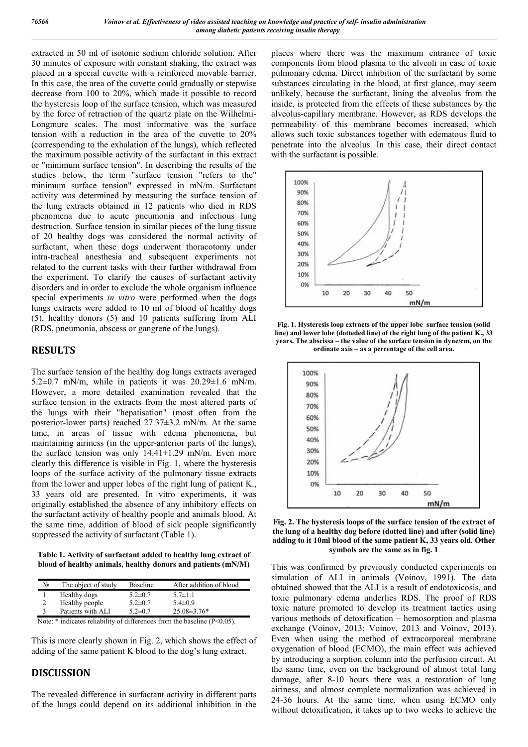extracted in 50 ml of isotonic sodium chloride solution. After 30 minutes of exposure with constant shaking, the extract was placed in a special cuvette with a reinforced movable barrier. In this case, the area of the cuvette could gradually or stepwise decrease from 100 to 20%, which made it possible to record the hysteresis loop of the surface tension, which was measured by the force of retraction of the quartz plate on the Wilhelmi-Longmure scales. The most informative was the surface tension with a reduction in the area of the cuvette to 20% (corresponding to the exhalation of the lungs), which reflected the maximum possible activity of the surfactant in this extract or "minimum surface tension". In describing the results of the studies below, the term "surface tension "refers to the" minimum surface tension" expressed in mN/m. Surfactant activity was determined by measuring the surface tension of the lung extracts obtained in 12 patients who died in RDS phenomena due to acute pneumonia and infectious lung destruction. Surface tension in similar pieces of the lung tissue of 20 healthy dogs was considered the normal activity of surfactant, when these dogs underwent thoracotomy under intra-tracheal anesthesia and subsequent experiments not related to the current tasks with their further withdrawal from the experiment. To clarify the causes of surfactant activity disorders and in order to exclude the whole organism influence special experiments *in vitro* were performed when the dogs lungs extracts were added to 10 ml of blood of healthy dogs (5), healthy donors (5) and 10 patients suffering from ALI (RDS, pneumonia, abscess or gangrene of the lungs).

# **RESULTS**

The surface tension of the healthy dog lungs extracts averaged 5.2 $\pm$ 0.7 mN/m, while in patients it was 20.29 $\pm$ 1.6 mN/m. However, a more detailed examination revealed that the surface tension in the extracts from the most altered parts of the lungs with their "hepatisation" (most often from the posterior-lower parts) reached 27.37±3.2 mN/m. At the same time, in areas of tissue with edema phenomena, but maintaining airiness (in the upper-anterior parts of the lungs), the surface tension was only  $14.41 \pm 1.29$  mN/m. Even more clearly this difference is visible in Fig. 1, where the hysteresis loops of the surface activity of the pulmonary tissue extracts from the lower and upper lobes of the right lung of patient K., 33 years old are presented. In vitro experiments, it was originally established the absence of any inhibitory effects on the surfactant activity of healthy people and animals blood. At the same time, addition of blood of sick people significantly suppressed the activity of surfactant (Table 1).

**Table 1. Activity of surfactant added to healthy lung extract of blood of healthy animals, healthy donors and patients (mN/M)**

| No.            | The object of study | Baseline      | After addition of blood |
|----------------|---------------------|---------------|-------------------------|
|                | Healthy dogs        | $5.2 \pm 0.7$ | $5.7 \pm 1.1$           |
| $\overline{c}$ | Healthy people      | $5.2 \pm 0.7$ | $5.4 \pm 0.9$           |
|                | Patients with ALI   | $5.2 \pm 0.7$ | $25.08\pm3.76*$         |

Note: \* indicates reliability of differences from the baseline (P<0.05).

This is more clearly shown in Fig. 2, which shows the effect of adding of the same patient K blood to the dog's lung extract.

## **DISCUSSION**

The revealed difference in surfactant activity in different parts of the lungs could depend on its additional inhibition in the places where there was the maximum entrance of toxic components from blood plasma to the alveoli in case of toxic pulmonary edema. Direct inhibition of the surfactant by some substances circulating in the blood, at first glance, may seem unlikely, because the surfactant, lining the alveolus from the inside, is protected from the effects of these substances by the alveolus-capillary membrane. However, as RDS develops the permeability of this membrane becomes increased, which allows such toxic substances together with edematous fluid to penetrate into the alveolus. In this case, their direct contact with the surfactant is possible.



**Fig. 1. Hysteresis loop extracts of the upper lobe surface tension (solid line) and lower lobe (dotteded line) of the right lung of the patient K., 33 years. The abscissa – the value of the surface tension in dyne/cm, on the ordinate axis – as a percentage of the cell area.**



**Fig. 2. The hysteresis loops of the surface tension of the extract of the lung of a healthy dog before (dotted line) and after (solid line) adding to it 10ml blood of the same patient K, 33 years old. Other symbols are the same as in fig. 1**

This was confirmed by previously conducted experiments on simulation of ALI in animals (Voinov, 1991). The data obtained showed that the ALI is a result of endotoxicosis, and toxic pulmonary edema underlies RDS. The proof of RDS toxic nature promoted to develop its treatment tactics using various methods of detoxification – hemosorption and plasma exchange (Voinov, 2013; Voinov, 2013 and Voinov, 2013). Even when using the method of extracorporeal membrane oxygenation of blood (ECMO), the main effect was achieved by introducing a sorption column into the perfusion circuit. At the same time, even on the background of almost total lung damage, after 8-10 hours there was a restoration of lung airiness, and almost complete normalization was achieved in 24-36 hours. At the same time, when using ECMO only without detoxification, it takes up to two weeks to achieve the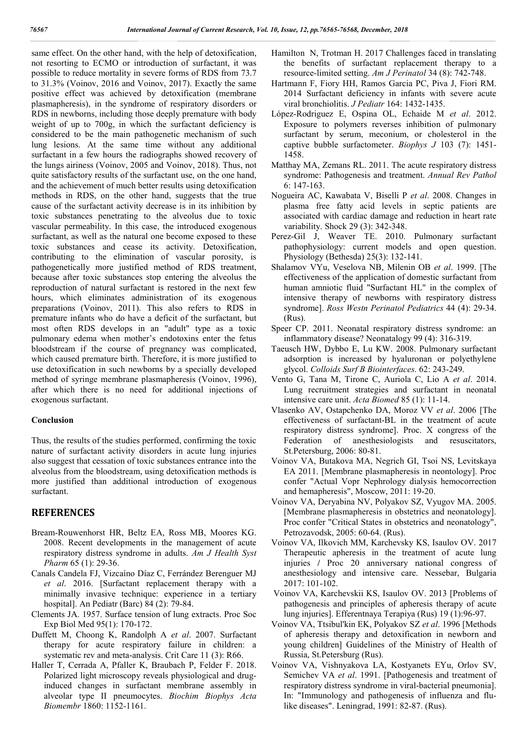same effect. On the other hand, with the help of detoxification, not resorting to ECMO or introduction of surfactant, it was possible to reduce mortality in severe forms of RDS from 73.7 to 31.3% (Voinov, 2016 and Voinov, 2017). Exactly the same positive effect was achieved by detoxification (membrane plasmapheresis), in the syndrome of respiratory disorders or RDS in newborns, including those deeply premature with body weight of up to 700g, in which the surfactant deficiency is considered to be the main pathogenetic mechanism of such lung lesions. At the same time without any additional surfactant in a few hours the radiographs showed recovery of the lungs airiness (Voinov, 2005 and Voinov, 2018). Thus, not quite satisfactory results of the surfactant use, on the one hand, and the achievement of much better results using detoxification methods in RDS, on the other hand, suggests that the true cause of the surfactant activity decrease is in its inhibition by toxic substances penetrating to the alveolus due to toxic vascular permeability. In this case, the introduced exogenous surfactant, as well as the natural one become exposed to these toxic substances and cease its activity. Detoxification, contributing to the elimination of vascular porosity, is pathogenetically more justified method of RDS treatment, because after toxic substances stop entering the alveolus the reproduction of natural surfactant is restored in the next few hours, which eliminates administration of its exogenous preparations (Voinov, 2011). This also refers to RDS in premature infants who do have a deficit of the surfactant, but most often RDS develops in an "adult" type as a toxic pulmonary edema when mother's endotoxins enter the fetus bloodstream if the course of pregnancy was complicated, which caused premature birth. Therefore, it is more justified to use detoxification in such newborns by a specially developed method of syringe membrane plasmapheresis (Voinov, 1996), after which there is no need for additional injections of exogenous surfactant.

#### **Conclusion**

Thus, the results of the studies performed, confirming the toxic nature of surfactant activity disorders in acute lung injuries also suggest that cessation of toxic substances entrance into the alveolus from the bloodstream, using detoxification methods is more justified than additional introduction of exogenous surfactant.

## **REFERENCES**

- Bream-Rouwenhorst HR, Beltz EA, Ross MB, Moores KG. 2008. Recent developments in the management of acute respiratory distress syndrome in adults. *Am J Health Syst Pharm* 65 (1): 29-36.
- Canals Candela FJ, Vizcaíno Díaz C, Ferrández Berenguer MJ *et al*. 2016. [Surfactant replacement therapy with a minimally invasive technique: experience in a tertiary hospital]. An Pediatr (Barc) 84 (2): 79-84.
- Clements JA. 1957. Surface tension of lung extracts. Proc Soc Exp Biol Med 95(1): 170-172.
- Duffett M, Choong K, Randolph A *et al*. 2007. Surfactant therapy for acute respiratory failure in children: a systematic rev and meta-analysis. Crit Care 11 (3): R66.
- Haller T, Cerrada A, Pfaller K, Braubach P, Felder F. 2018. Polarized light microscopy reveals physiological and druginduced changes in surfactant membrane assembly in alveolar type II pneumocytes. *Biochim Biophys Acta Biomembr* 1860: 1152-1161.
- Hamilton N, Trotman H. 2017 Challenges faced in translating the benefits of surfactant replacement therapy to a resource-limited setting. *Am J Perinatol* 34 (8): 742-748.
- Hartmann F, Fiory HH, Ramos Garcia PC, Piva J, Fiori RM. 2014 Surfactant deficiency in infants with severe acute viral bronchiolitis. *J Pediatr* 164: 1432-1435.
- López-Rodriguez E, Ospina OL, Echaide M *et al*. 2012. Exposure to polymers reverses inhibition of pulmonary surfactant by serum, meconium, or cholesterol in the captive bubble surfactometer. *Biophys J* 103 (7): 1451- 1458.
- Matthay MA, Zemans RL. 2011. The acute respiratory distress syndrome: Pathogenesis and treatment. *Annual Rev Pathol* 6: 147-163.
- Nogueira AC, Kawabata V, Biselli P *et al*. 2008. Changes in plasma free fatty acid levels in septic patients are associated with cardiac damage and reduction in heart rate variability. Shock 29 (3): 342-348.
- Perez-Gil J, Weaver TE. 2010. Pulmonary surfactant pathophysiology: current models and open question. Physiology (Bethesda) 25(3): 132-141.
- Shalamov VYu, Veselova NB, Milenin OB *et al*. 1999. [The effectiveness of the application of domestic surfactant from human amniotic fluid "Surfactant HL" in the complex of intensive therapy of newborns with respiratory distress syndrome]. *Ross Westn Perinatol Pediatrics* 44 (4): 29-34. (Rus).
- Speer CP. 2011. Neonatal respiratory distress syndrome: an inflammatory disease? Neonatalogy 99 (4): 316-319.
- Taeusch HW, Dybbo E, Lu KW. 2008. Pulmonary surfactant adsorption is increased by hyaluronan or polyethylene glycol. *Colloids Surf B Biointerfaces.* 62: 243-249.
- Vento G, Tana M, Tirone C, Auriola C, Lio A *et al*. 2014. Lung recruitment strategies and surfactant in neonatal intensive care unit. *Acta Biomed* 85 (1): 11-14.
- Vlasenko AV, Ostapchenko DA, Moroz VV *et al*. 2006 [The effectiveness of surfactant-BL in the treatment of acute respiratory distress syndrome]. Proc. X congress of the Federation of anesthesiologists and resuscitators, St.Petersburg, 2006: 80-81.
- Voinov VA, Butakova MA, Negrich GI, Tsoi NS, Levitskaya EA 2011. [Membrane plasmapheresis in neontology]. Proc confer "Actual Vopr Nephrology dialysis hemocorrection and hemapheresis", Moscow, 2011: 19-20.
- Voinov VA, Deryabina NV, Polyakov SZ, Vyugov MA. 2005. [Membrane plasmapheresis in obstetrics and neonatology]. Proc confer "Critical States in obstetrics and neonatology", Petrozavodsk, 2005: 60-64. (Rus).
- Voinov VA, Ilkovich MM, Karchevsky KS, Isaulov OV. 2017 Therapeutic apheresis in the treatment of acute lung injuries **/** Proc 20 anniversary national congress of anesthesiology and intensive care. Nessebar, Bulgaria 2017: 101-102.
- Voinov VA, Karchevskii KS, Isaulov OV. 2013 [Problems of pathogenesis and principles of apheresis therapy of acute lung injuries]. Efferentnaya Terapiya (Rus) 19 (1):96-97.
- Voinov VA, Ttsibul'kin EK, Polyakov SZ *et al*. 1996 [Methods of apheresis therapy and detoxification in newborn and young children] Guidelines of the Ministry of Health of Russia, St.Petersburg (Rus).
- Voinov VA, Vishnyakova LA, Kostyanets EYu, Orlov SV, Semichev VA *et al*. 1991. [Pathogenesis and treatment of respiratory distress syndrome in viral-bacterial pneumonia]. In: "Immunology and pathogenesis of influenza and flulike diseases". Leningrad, 1991: 82-87. (Rus).